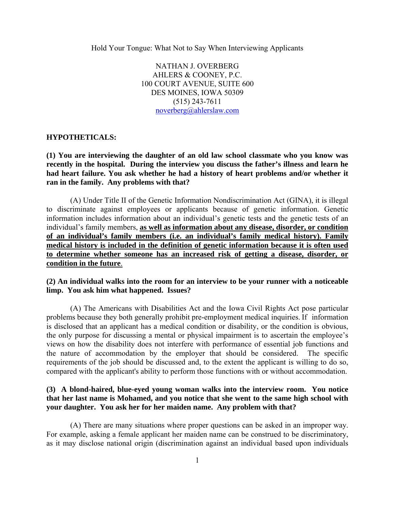Hold Your Tongue: What Not to Say When Interviewing Applicants

NATHAN J. OVERBERG AHLERS & COONEY, P.C. 100 COURT AVENUE, SUITE 600 DES MOINES, IOWA 50309 (515) 243-7611 noverberg@ahlerslaw.com

#### **HYPOTHETICALS:**

**(1) You are interviewing the daughter of an old law school classmate who you know was recently in the hospital. During the interview you discuss the father's illness and learn he had heart failure. You ask whether he had a history of heart problems and/or whether it ran in the family. Any problems with that?** 

(A) Under Title II of the Genetic Information Nondiscrimination Act (GINA), it is illegal to discriminate against employees or applicants because of genetic information. Genetic information includes information about an individual's genetic tests and the genetic tests of an individual's family members, **as well as information about any disease, disorder, or condition of an individual's family members (i.e. an individual's family medical history). Family medical history is included in the definition of genetic information because it is often used to determine whether someone has an increased risk of getting a disease, disorder, or condition in the future**.

#### **(2) An individual walks into the room for an interview to be your runner with a noticeable limp. You ask him what happened. Issues?**

(A) The Americans with Disabilities Act and the Iowa Civil Rights Act pose particular problems because they both generally prohibit pre-employment medical inquiries. If information is disclosed that an applicant has a medical condition or disability, or the condition is obvious, the only purpose for discussing a mental or physical impairment is to ascertain the employee's views on how the disability does not interfere with performance of essential job functions and the nature of accommodation by the employer that should be considered. The specific requirements of the job should be discussed and, to the extent the applicant is willing to do so, compared with the applicant's ability to perform those functions with or without accommodation.

#### **(3) A blond-haired, blue-eyed young woman walks into the interview room. You notice that her last name is Mohamed, and you notice that she went to the same high school with your daughter. You ask her for her maiden name. Any problem with that?**

(A) There are many situations where proper questions can be asked in an improper way. For example, asking a female applicant her maiden name can be construed to be discriminatory, as it may disclose national origin (discrimination against an individual based upon individuals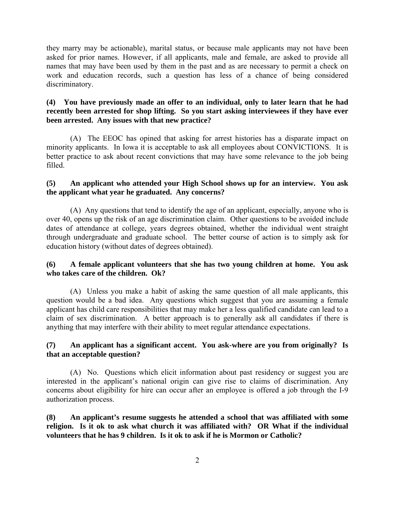they marry may be actionable), marital status, or because male applicants may not have been asked for prior names. However, if all applicants, male and female, are asked to provide all names that may have been used by them in the past and as are necessary to permit a check on work and education records, such a question has less of a chance of being considered discriminatory.

# **(4) You have previously made an offer to an individual, only to later learn that he had recently been arrested for shop lifting. So you start asking interviewees if they have ever been arrested. Any issues with that new practice?**

 (A) The EEOC has opined that asking for arrest histories has a disparate impact on minority applicants. In Iowa it is acceptable to ask all employees about CONVICTIONS. It is better practice to ask about recent convictions that may have some relevance to the job being filled.

### **(5) An applicant who attended your High School shows up for an interview. You ask the applicant what year he graduated. Any concerns?**

(A) Any questions that tend to identify the age of an applicant, especially, anyone who is over 40, opens up the risk of an age discrimination claim. Other questions to be avoided include dates of attendance at college, years degrees obtained, whether the individual went straight through undergraduate and graduate school. The better course of action is to simply ask for education history (without dates of degrees obtained).

# **(6) A female applicant volunteers that she has two young children at home. You ask who takes care of the children. Ok?**

(A) Unless you make a habit of asking the same question of all male applicants, this question would be a bad idea. Any questions which suggest that you are assuming a female applicant has child care responsibilities that may make her a less qualified candidate can lead to a claim of sex discrimination. A better approach is to generally ask all candidates if there is anything that may interfere with their ability to meet regular attendance expectations.

#### **(7) An applicant has a significant accent. You ask-where are you from originally? Is that an acceptable question?**

 (A) No. Questions which elicit information about past residency or suggest you are interested in the applicant's national origin can give rise to claims of discrimination. Any concerns about eligibility for hire can occur after an employee is offered a job through the I-9 authorization process.

**(8) An applicant's resume suggests he attended a school that was affiliated with some religion. Is it ok to ask what church it was affiliated with? OR What if the individual volunteers that he has 9 children. Is it ok to ask if he is Mormon or Catholic?**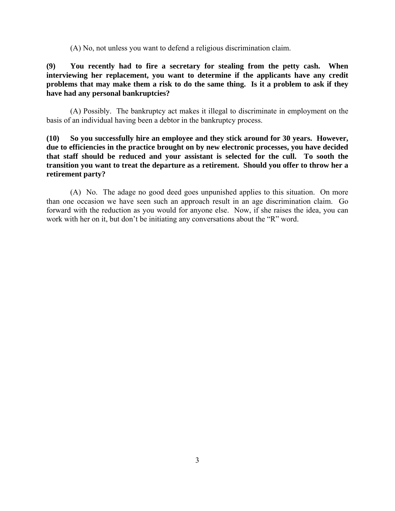(A) No, not unless you want to defend a religious discrimination claim.

**(9) You recently had to fire a secretary for stealing from the petty cash. When interviewing her replacement, you want to determine if the applicants have any credit problems that may make them a risk to do the same thing. Is it a problem to ask if they have had any personal bankruptcies?** 

(A) Possibly. The bankruptcy act makes it illegal to discriminate in employment on the basis of an individual having been a debtor in the bankruptcy process.

**(10) So you successfully hire an employee and they stick around for 30 years. However, due to efficiencies in the practice brought on by new electronic processes, you have decided that staff should be reduced and your assistant is selected for the cull. To sooth the transition you want to treat the departure as a retirement. Should you offer to throw her a retirement party?** 

(A) No. The adage no good deed goes unpunished applies to this situation. On more than one occasion we have seen such an approach result in an age discrimination claim. Go forward with the reduction as you would for anyone else. Now, if she raises the idea, you can work with her on it, but don't be initiating any conversations about the "R" word.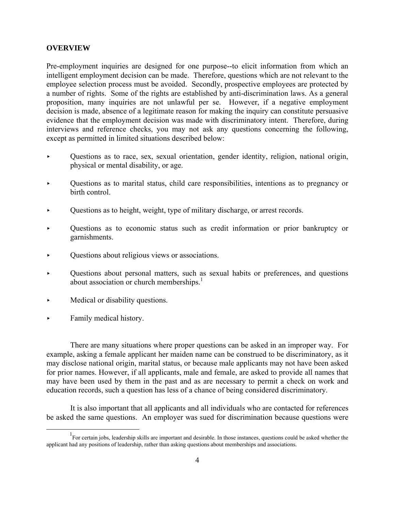#### **OVERVIEW**

Pre-employment inquiries are designed for one purpose--to elicit information from which an intelligent employment decision can be made. Therefore, questions which are not relevant to the employee selection process must be avoided. Secondly, prospective employees are protected by a number of rights. Some of the rights are established by anti-discrimination laws. As a general proposition, many inquiries are not unlawful per se. However, if a negative employment decision is made, absence of a legitimate reason for making the inquiry can constitute persuasive evidence that the employment decision was made with discriminatory intent. Therefore, during interviews and reference checks, you may not ask any questions concerning the following, except as permitted in limited situations described below:

- ▸ Questions as to race, sex, sexual orientation, gender identity, religion, national origin, physical or mental disability, or age.
- ▸ Questions as to marital status, child care responsibilities, intentions as to pregnancy or birth control.
- ▸ Questions as to height, weight, type of military discharge, or arrest records.
- ▸ Questions as to economic status such as credit information or prior bankruptcy or garnishments.
- ▸ Questions about religious views or associations.
- ▸ Questions about personal matters, such as sexual habits or preferences, and questions about association or church memberships.<sup>1</sup>
- ▸ Medical or disability questions.
- Family medical history.

 There are many situations where proper questions can be asked in an improper way. For example, asking a female applicant her maiden name can be construed to be discriminatory, as it may disclose national origin, marital status, or because male applicants may not have been asked for prior names. However, if all applicants, male and female, are asked to provide all names that may have been used by them in the past and as are necessary to permit a check on work and education records, such a question has less of a chance of being considered discriminatory.

 It is also important that all applicants and all individuals who are contacted for references be asked the same questions. An employer was sued for discrimination because questions were

<sup>&</sup>lt;u>1</u> <sup>1</sup> For certain jobs, leadership skills are important and desirable. In those instances, questions could be asked whether the applicant had any positions of leadership, rather than asking questions about memberships and associations.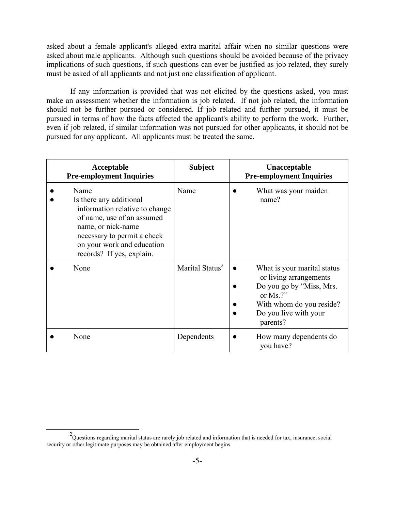asked about a female applicant's alleged extra-marital affair when no similar questions were asked about male applicants. Although such questions should be avoided because of the privacy implications of such questions, if such questions can ever be justified as job related, they surely must be asked of all applicants and not just one classification of applicant.

 If any information is provided that was not elicited by the questions asked, you must make an assessment whether the information is job related. If not job related, the information should not be further pursued or considered. If job related and further pursued, it must be pursued in terms of how the facts affected the applicant's ability to perform the work. Further, even if job related, if similar information was not pursued for other applicants, it should not be pursued for any applicant. All applicants must be treated the same.

| Acceptable<br><b>Pre-employment Inquiries</b>                                                                                                                                                                   | <b>Subject</b>              | Unacceptable<br><b>Pre-employment Inquiries</b>                                                                                                                                |
|-----------------------------------------------------------------------------------------------------------------------------------------------------------------------------------------------------------------|-----------------------------|--------------------------------------------------------------------------------------------------------------------------------------------------------------------------------|
| Name<br>Is there any additional<br>information relative to change<br>of name, use of an assumed<br>name, or nick-name<br>necessary to permit a check<br>on your work and education<br>records? If yes, explain. | Name                        | What was your maiden<br>name?                                                                                                                                                  |
| None                                                                                                                                                                                                            | Marital Status <sup>2</sup> | What is your marital status<br>$\bullet$<br>or living arrangements<br>Do you go by "Miss, Mrs.<br>or $Ms$ .?"<br>With whom do you reside?<br>Do you live with your<br>parents? |
| None                                                                                                                                                                                                            | Dependents                  | How many dependents do<br>you have?                                                                                                                                            |

 <sup>2</sup>  $^{2}$ Questions regarding marital status are rarely job related and information that is needed for tax, insurance, social security or other legitimate purposes may be obtained after employment begins.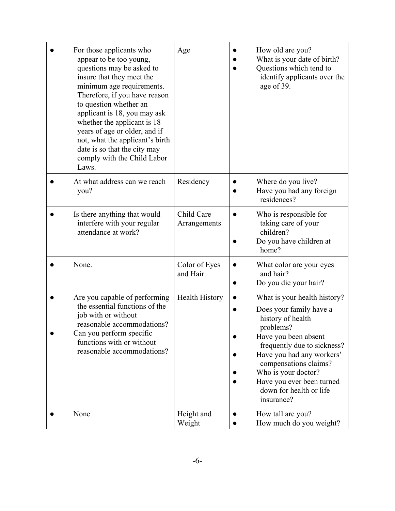| For those applicants who<br>appear to be too young,<br>questions may be asked to<br>insure that they meet the<br>minimum age requirements.<br>Therefore, if you have reason<br>to question whether an<br>applicant is 18, you may ask<br>whether the applicant is 18<br>years of age or older, and if<br>not, what the applicant's birth<br>date is so that the city may<br>comply with the Child Labor<br>Laws. | Age                        | How old are you?<br>What is your date of birth?<br>Questions which tend to<br>identify applicants over the<br>age of 39.                                                                                                                                                                            |
|------------------------------------------------------------------------------------------------------------------------------------------------------------------------------------------------------------------------------------------------------------------------------------------------------------------------------------------------------------------------------------------------------------------|----------------------------|-----------------------------------------------------------------------------------------------------------------------------------------------------------------------------------------------------------------------------------------------------------------------------------------------------|
| At what address can we reach<br>you?                                                                                                                                                                                                                                                                                                                                                                             | Residency                  | Where do you live?<br>Have you had any foreign<br>residences?                                                                                                                                                                                                                                       |
| Is there anything that would<br>interfere with your regular<br>attendance at work?                                                                                                                                                                                                                                                                                                                               | Child Care<br>Arrangements | Who is responsible for<br>taking care of your<br>children?<br>Do you have children at<br>home?                                                                                                                                                                                                      |
| None.                                                                                                                                                                                                                                                                                                                                                                                                            | Color of Eyes<br>and Hair  | What color are your eyes<br>and hair?<br>Do you die your hair?                                                                                                                                                                                                                                      |
| Are you capable of performing<br>the essential functions of the<br>job with or without<br>reasonable accommodations?<br>Can you perform specific<br>functions with or without<br>reasonable accommodations?                                                                                                                                                                                                      | <b>Health History</b>      | What is your health history?<br>Does your family have a<br>history of health<br>problems?<br>Have you been absent<br>frequently due to sickness?<br>Have you had any workers'<br>compensations claims?<br>Who is your doctor?<br>Have you ever been turned<br>down for health or life<br>insurance? |
| None                                                                                                                                                                                                                                                                                                                                                                                                             | Height and<br>Weight       | How tall are you?<br>How much do you weight?                                                                                                                                                                                                                                                        |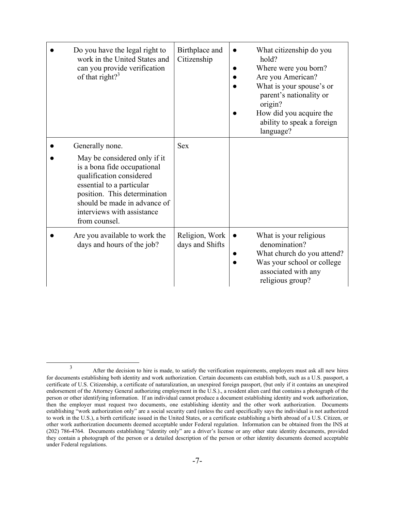| Do you have the legal right to<br>work in the United States and<br>can you provide verification<br>of that right? $3^3$                                                                                                                                | Birthplace and<br>Citizenship     | What citizenship do you<br>hold?<br>Where were you born?<br>Are you American?<br>What is your spouse's or<br>parent's nationality or<br>origin?<br>How did you acquire the<br>ability to speak a foreign<br>language? |
|--------------------------------------------------------------------------------------------------------------------------------------------------------------------------------------------------------------------------------------------------------|-----------------------------------|-----------------------------------------------------------------------------------------------------------------------------------------------------------------------------------------------------------------------|
| Generally none.<br>May be considered only if it<br>is a bona fide occupational<br>qualification considered<br>essential to a particular<br>position. This determination<br>should be made in advance of<br>interviews with assistance<br>from counsel. | <b>Sex</b>                        |                                                                                                                                                                                                                       |
| Are you available to work the<br>days and hours of the job?                                                                                                                                                                                            | Religion, Work<br>days and Shifts | What is your religious<br>denomination?<br>What church do you attend?<br>Was your school or college<br>associated with any<br>religious group?                                                                        |

 <sup>3</sup> After the decision to hire is made, to satisfy the verification requirements, employers must ask all new hires for documents establishing both identity and work authorization. Certain documents can establish both, such as a U.S. passport, a certificate of U.S. Citizenship, a certificate of naturalization, an unexpired foreign passport, (but only if it contains an unexpired endorsement of the Attorney General authorizing employment in the U.S.)., a resident alien card that contains a photograph of the person or other identifying information. If an individual cannot produce a document establishing identity and work authorization, then the employer must request two documents, one establishing identity and the other work authorization. Documents establishing "work authorization only" are a social security card (unless the card specifically says the individual is not authorized to work in the U.S.), a birth certificate issued in the United States, or a certificate establishing a birth abroad of a U.S. Citizen, or other work authorization documents deemed acceptable under Federal regulation. Information can be obtained from the INS at (202) 786-4764. Documents establishing "identity only" are a driver's license or any other state identity documents, provided they contain a photograph of the person or a detailed description of the person or other identity documents deemed acceptable under Federal regulations.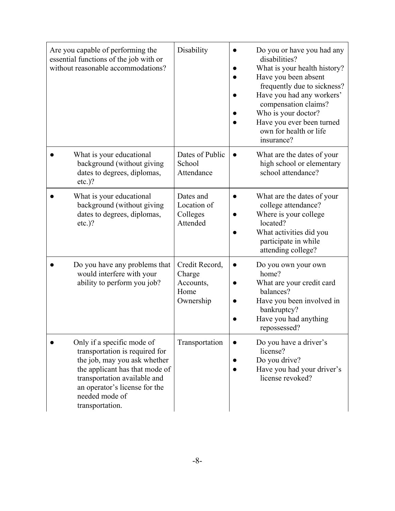| Are you capable of performing the<br>essential functions of the job with or<br>without reasonable accommodations?                                                                                                                    | Disability                                                 | Do you or have you had any<br>disabilities?<br>What is your health history?<br>Have you been absent<br>frequently due to sickness?<br>Have you had any workers'<br>compensation claims?<br>Who is your doctor?<br>Have you ever been turned<br>own for health or life<br>insurance? |
|--------------------------------------------------------------------------------------------------------------------------------------------------------------------------------------------------------------------------------------|------------------------------------------------------------|-------------------------------------------------------------------------------------------------------------------------------------------------------------------------------------------------------------------------------------------------------------------------------------|
| What is your educational<br>background (without giving<br>dates to degrees, diplomas,<br>$etc.$ )?                                                                                                                                   | Dates of Public<br>School<br>Attendance                    | What are the dates of your<br>high school or elementary<br>school attendance?                                                                                                                                                                                                       |
| What is your educational<br>background (without giving<br>dates to degrees, diplomas,<br>$etc.$ )?                                                                                                                                   | Dates and<br>Location of<br>Colleges<br>Attended           | What are the dates of your<br>college attendance?<br>Where is your college<br>located?<br>What activities did you<br>participate in while<br>attending college?                                                                                                                     |
| Do you have any problems that<br>would interfere with your<br>ability to perform you job?                                                                                                                                            | Credit Record,<br>Charge<br>Accounts,<br>Home<br>Ownership | Do you own your own<br>home?<br>What are your credit card<br>balances?<br>Have you been involved in<br>bankruptcy?<br>Have you had anything<br>repossessed?                                                                                                                         |
| Only if a specific mode of<br>transportation is required for<br>the job, may you ask whether<br>the applicant has that mode of<br>transportation available and<br>an operator's license for the<br>needed mode of<br>transportation. | Transportation                                             | Do you have a driver's<br>license?<br>Do you drive?<br>Have you had your driver's<br>license revoked?                                                                                                                                                                               |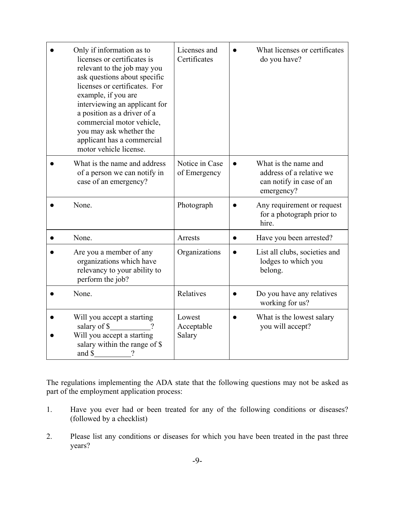| Only if information as to<br>licenses or certificates is<br>relevant to the job may you<br>ask questions about specific<br>licenses or certificates. For<br>example, if you are<br>interviewing an applicant for<br>a position as a driver of a<br>commercial motor vehicle,<br>you may ask whether the<br>applicant has a commercial<br>motor vehicle license. | Licenses and<br>Certificates   |           | What licenses or certificates<br>do you have?                                              |
|-----------------------------------------------------------------------------------------------------------------------------------------------------------------------------------------------------------------------------------------------------------------------------------------------------------------------------------------------------------------|--------------------------------|-----------|--------------------------------------------------------------------------------------------|
| What is the name and address<br>of a person we can notify in<br>case of an emergency?                                                                                                                                                                                                                                                                           | Notice in Case<br>of Emergency |           | What is the name and<br>address of a relative we<br>can notify in case of an<br>emergency? |
| None.                                                                                                                                                                                                                                                                                                                                                           | Photograph                     |           | Any requirement or request<br>for a photograph prior to<br>hire.                           |
| None.                                                                                                                                                                                                                                                                                                                                                           | Arrests                        |           | Have you been arrested?                                                                    |
| Are you a member of any<br>organizations which have<br>relevancy to your ability to<br>perform the job?                                                                                                                                                                                                                                                         | Organizations                  |           | List all clubs, societies and<br>lodges to which you<br>belong.                            |
| None.                                                                                                                                                                                                                                                                                                                                                           | Relatives                      |           | Do you have any relatives<br>working for us?                                               |
| Will you accept a starting<br>salary of \$<br>Will you accept a starting<br>salary within the range of \$<br>$\gamma$<br>and $\frac{\S_{\text{max}}}{\S_{\text{max}}}$                                                                                                                                                                                          | Lowest<br>Acceptable<br>Salary | $\bullet$ | What is the lowest salary<br>you will accept?                                              |

The regulations implementing the ADA state that the following questions may not be asked as part of the employment application process:

- 1. Have you ever had or been treated for any of the following conditions or diseases? (followed by a checklist)
- 2. Please list any conditions or diseases for which you have been treated in the past three years?